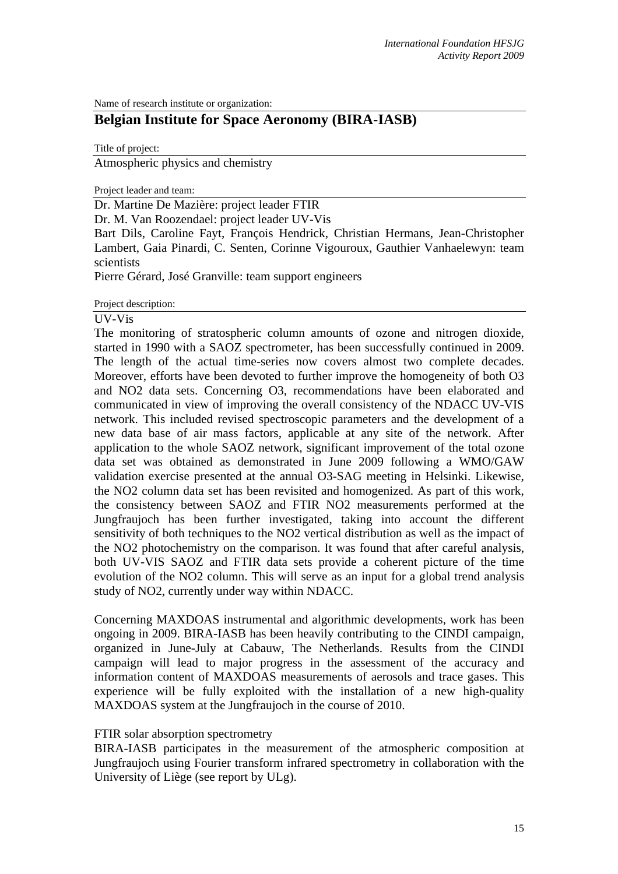Name of research institute or organization:

# **Belgian Institute for Space Aeronomy (BIRA-IASB)**

Title of project:

Atmospheric physics and chemistry

Project leader and team:

Dr. Martine De Mazière: project leader FTIR

Dr. M. Van Roozendael: project leader UV-Vis

Bart Dils, Caroline Fayt, François Hendrick, Christian Hermans, Jean-Christopher Lambert, Gaia Pinardi, C. Senten, Corinne Vigouroux, Gauthier Vanhaelewyn: team scientists

Pierre Gérard, José Granville: team support engineers

Project description:

#### UV-Vis

The monitoring of stratospheric column amounts of ozone and nitrogen dioxide, started in 1990 with a SAOZ spectrometer, has been successfully continued in 2009. The length of the actual time-series now covers almost two complete decades. Moreover, efforts have been devoted to further improve the homogeneity of both O3 and NO2 data sets. Concerning O3, recommendations have been elaborated and communicated in view of improving the overall consistency of the NDACC UV-VIS network. This included revised spectroscopic parameters and the development of a new data base of air mass factors, applicable at any site of the network. After application to the whole SAOZ network, significant improvement of the total ozone data set was obtained as demonstrated in June 2009 following a WMO/GAW validation exercise presented at the annual O3-SAG meeting in Helsinki. Likewise, the NO2 column data set has been revisited and homogenized. As part of this work, the consistency between SAOZ and FTIR NO2 measurements performed at the Jungfraujoch has been further investigated, taking into account the different sensitivity of both techniques to the NO2 vertical distribution as well as the impact of the NO2 photochemistry on the comparison. It was found that after careful analysis, both UV-VIS SAOZ and FTIR data sets provide a coherent picture of the time evolution of the NO2 column. This will serve as an input for a global trend analysis study of NO2, currently under way within NDACC.

Concerning MAXDOAS instrumental and algorithmic developments, work has been ongoing in 2009. BIRA-IASB has been heavily contributing to the CINDI campaign, organized in June-July at Cabauw, The Netherlands. Results from the CINDI campaign will lead to major progress in the assessment of the accuracy and information content of MAXDOAS measurements of aerosols and trace gases. This experience will be fully exploited with the installation of a new high-quality MAXDOAS system at the Jungfraujoch in the course of 2010.

### FTIR solar absorption spectrometry

BIRA-IASB participates in the measurement of the atmospheric composition at Jungfraujoch using Fourier transform infrared spectrometry in collaboration with the University of Liège (see report by ULg).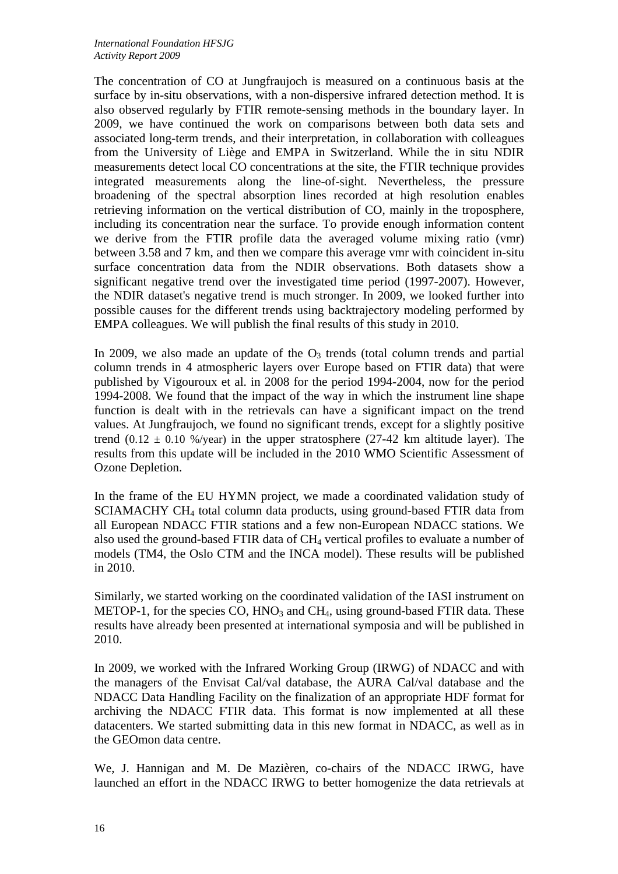The concentration of CO at Jungfraujoch is measured on a continuous basis at the surface by in-situ observations, with a non-dispersive infrared detection method. It is also observed regularly by FTIR remote-sensing methods in the boundary layer. In 2009, we have continued the work on comparisons between both data sets and associated long-term trends, and their interpretation, in collaboration with colleagues from the University of Liège and EMPA in Switzerland. While the in situ NDIR measurements detect local CO concentrations at the site, the FTIR technique provides integrated measurements along the line-of-sight. Nevertheless, the pressure broadening of the spectral absorption lines recorded at high resolution enables retrieving information on the vertical distribution of CO, mainly in the troposphere, including its concentration near the surface. To provide enough information content we derive from the FTIR profile data the averaged volume mixing ratio (vmr) between 3.58 and 7 km, and then we compare this average vmr with coincident in-situ surface concentration data from the NDIR observations. Both datasets show a significant negative trend over the investigated time period (1997-2007). However, the NDIR dataset's negative trend is much stronger. In 2009, we looked further into possible causes for the different trends using backtrajectory modeling performed by EMPA colleagues. We will publish the final results of this study in 2010.

In 2009, we also made an update of the  $O_3$  trends (total column trends and partial column trends in 4 atmospheric layers over Europe based on FTIR data) that were published by Vigouroux et al. in 2008 for the period 1994-2004, now for the period 1994-2008. We found that the impact of the way in which the instrument line shape function is dealt with in the retrievals can have a significant impact on the trend values. At Jungfraujoch, we found no significant trends, except for a slightly positive trend  $(0.12 \pm 0.10 \frac{\omega}{\text{year}})$  in the upper stratosphere (27-42 km altitude layer). The results from this update will be included in the 2010 WMO Scientific Assessment of Ozone Depletion.

In the frame of the EU HYMN project, we made a coordinated validation study of SCIAMACHY CH4 total column data products, using ground-based FTIR data from all European NDACC FTIR stations and a few non-European NDACC stations. We also used the ground-based FTIR data of CH4 vertical profiles to evaluate a number of models (TM4, the Oslo CTM and the INCA model). These results will be published in 2010.

Similarly, we started working on the coordinated validation of the IASI instrument on METOP-1, for the species CO,  $HNO<sub>3</sub>$  and  $CH<sub>4</sub>$ , using ground-based FTIR data. These results have already been presented at international symposia and will be published in 2010.

In 2009, we worked with the Infrared Working Group (IRWG) of NDACC and with the managers of the Envisat Cal/val database, the AURA Cal/val database and the NDACC Data Handling Facility on the finalization of an appropriate HDF format for archiving the NDACC FTIR data. This format is now implemented at all these datacenters. We started submitting data in this new format in NDACC, as well as in the GEOmon data centre.

We, J. Hannigan and M. De Mazièren, co-chairs of the NDACC IRWG, have launched an effort in the NDACC IRWG to better homogenize the data retrievals at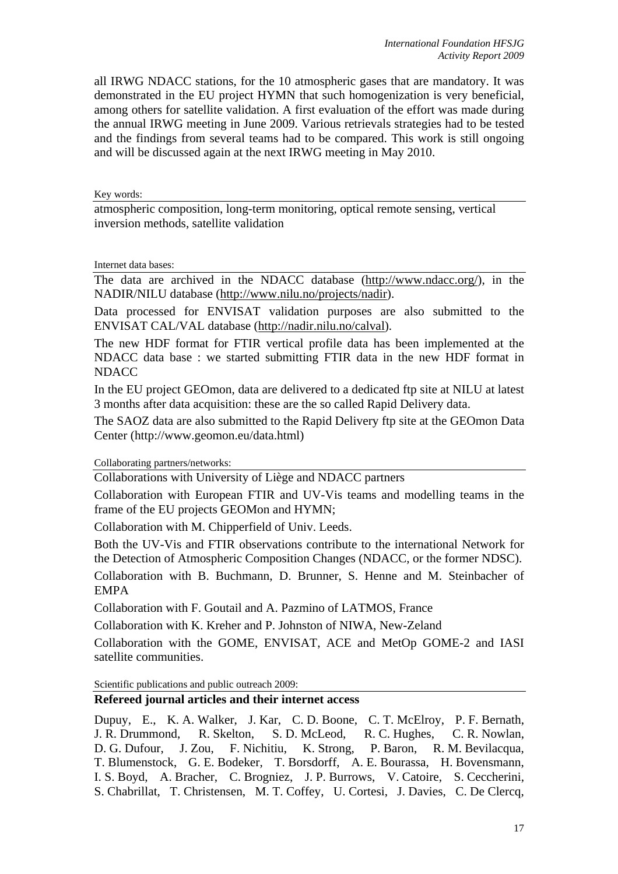all IRWG NDACC stations, for the 10 atmospheric gases that are mandatory. It was demonstrated in the EU project HYMN that such homogenization is very beneficial, among others for satellite validation. A first evaluation of the effort was made during the annual IRWG meeting in June 2009. Various retrievals strategies had to be tested and the findings from several teams had to be compared. This work is still ongoing and will be discussed again at the next IRWG meeting in May 2010.

Key words:

atmospheric composition, long-term monitoring, optical remote sensing, vertical inversion methods, satellite validation

Internet data bases:

The data are archived in the NDACC database (http://www.ndacc.org/), in the NADIR/NILU database (http://www.nilu.no/projects/nadir).

Data processed for ENVISAT validation purposes are also submitted to the ENVISAT CAL/VAL database (http://nadir.nilu.no/calval).

The new HDF format for FTIR vertical profile data has been implemented at the NDACC data base : we started submitting FTIR data in the new HDF format in NDACC

In the EU project GEOmon, data are delivered to a dedicated ftp site at NILU at latest 3 months after data acquisition: these are the so called Rapid Delivery data.

The SAOZ data are also submitted to the Rapid Delivery ftp site at the GEOmon Data Center (http://www.geomon.eu/data.html)

Collaborating partners/networks:

Collaborations with University of Liège and NDACC partners

Collaboration with European FTIR and UV-Vis teams and modelling teams in the frame of the EU projects GEOMon and HYMN;

Collaboration with M. Chipperfield of Univ. Leeds.

Both the UV-Vis and FTIR observations contribute to the international Network for the Detection of Atmospheric Composition Changes (NDACC, or the former NDSC). Collaboration with B. Buchmann, D. Brunner, S. Henne and M. Steinbacher of

EMPA

Collaboration with F. Goutail and A. Pazmino of LATMOS, France

Collaboration with K. Kreher and P. Johnston of NIWA, New-Zeland

Collaboration with the GOME, ENVISAT, ACE and MetOp GOME-2 and IASI satellite communities.

Scientific publications and public outreach 2009:

# **Refereed journal articles and their internet access**

Dupuy, E., K. A. Walker, J. Kar, C. D. Boone, C. T. McElroy, P. F. Bernath, J. R. Drummond, R. Skelton, S. D. McLeod, R. C. Hughes, C. R. Nowlan, D. G. Dufour, J. Zou, F. Nichitiu, K. Strong, P. Baron, R. M. Bevilacqua, T. Blumenstock, G. E. Bodeker, T. Borsdorff, A. E. Bourassa, H. Bovensmann, I. S. Boyd, A. Bracher, C. Brogniez, J. P. Burrows, V. Catoire, S. Ceccherini, S. Chabrillat, T. Christensen, M. T. Coffey, U. Cortesi, J. Davies, C. De Clercq,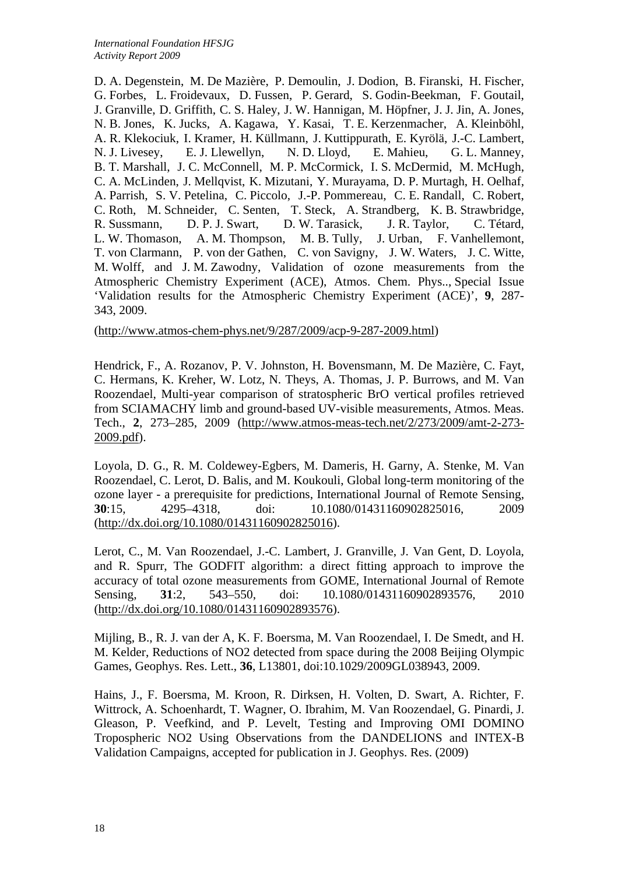D. A. Degenstein, M. De Mazière, P. Demoulin, J. Dodion, B. Firanski, H. Fischer, G. Forbes, L. Froidevaux, D. Fussen, P. Gerard, S. Godin-Beekman, F. Goutail, J. Granville, D. Griffith, C. S. Haley, J. W. Hannigan, M. Höpfner, J. J. Jin, A. Jones, N. B. Jones, K. Jucks, A. Kagawa, Y. Kasai, T. E. Kerzenmacher, A. Kleinböhl, A. R. Klekociuk, I. Kramer, H. Küllmann, J. Kuttippurath, E. Kyrölä, J.-C. Lambert, N. J. Livesey, E. J. Llewellyn, N. D. Lloyd, E. Mahieu, G. L. Manney, B. T. Marshall, J. C. McConnell, M. P. McCormick, I. S. McDermid, M. McHugh, C. A. McLinden, J. Mellqvist, K. Mizutani, Y. Murayama, D. P. Murtagh, H. Oelhaf, A. Parrish, S. V. Petelina, C. Piccolo, J.-P. Pommereau, C. E. Randall, C. Robert, C. Roth, M. Schneider, C. Senten, T. Steck, A. Strandberg, K. B. Strawbridge, R. Sussmann, D. P. J. Swart, D. W. Tarasick, J. R. Taylor, C. Tétard, L. W. Thomason, A. M. Thompson, M. B. Tully, J. Urban, F. Vanhellemont, T. von Clarmann, P. von der Gathen, C. von Savigny, J. W. Waters, J. C. Witte, M. Wolff, and J. M. Zawodny, Validation of ozone measurements from the Atmospheric Chemistry Experiment (ACE), Atmos. Chem. Phys.., Special Issue 'Validation results for the Atmospheric Chemistry Experiment (ACE)', **9**, 287- 343, 2009.

(http://www.atmos-chem-phys.net/9/287/2009/acp-9-287-2009.html)

Hendrick, F., A. Rozanov, P. V. Johnston, H. Bovensmann, M. De Mazière, C. Fayt, C. Hermans, K. Kreher, W. Lotz, N. Theys, A. Thomas, J. P. Burrows, and M. Van Roozendael, Multi-year comparison of stratospheric BrO vertical profiles retrieved from SCIAMACHY limb and ground-based UV-visible measurements, Atmos. Meas. Tech., **2**, 273–285, 2009 (http://www.atmos-meas-tech.net/2/273/2009/amt-2-273- 2009.pdf).

Loyola, D. G., R. M. Coldewey-Egbers, M. Dameris, H. Garny, A. Stenke, M. Van Roozendael, C. Lerot, D. Balis, and M. Koukouli, Global long-term monitoring of the ozone layer - a prerequisite for predictions, International Journal of Remote Sensing, **30**:15, 4295–4318, doi: 10.1080/01431160902825016, 2009 (http://dx.doi.org/10.1080/01431160902825016).

Lerot, C., M. Van Roozendael, J.-C. Lambert, J. Granville, J. Van Gent, D. Loyola, and R. Spurr, The GODFIT algorithm: a direct fitting approach to improve the accuracy of total ozone measurements from GOME, International Journal of Remote Sensing, **31**:2, 543–550, doi: 10.1080/01431160902893576, 2010 (http://dx.doi.org/10.1080/01431160902893576).

Mijling, B., R. J. van der A, K. F. Boersma, M. Van Roozendael, I. De Smedt, and H. M. Kelder, Reductions of NO2 detected from space during the 2008 Beijing Olympic Games, Geophys. Res. Lett., **36**, L13801, doi:10.1029/2009GL038943, 2009.

Hains, J., F. Boersma, M. Kroon, R. Dirksen, H. Volten, D. Swart, A. Richter, F. Wittrock, A. Schoenhardt, T. Wagner, O. Ibrahim, M. Van Roozendael, G. Pinardi, J. Gleason, P. Veefkind, and P. Levelt, Testing and Improving OMI DOMINO Tropospheric NO2 Using Observations from the DANDELIONS and INTEX-B Validation Campaigns, accepted for publication in J. Geophys. Res. (2009)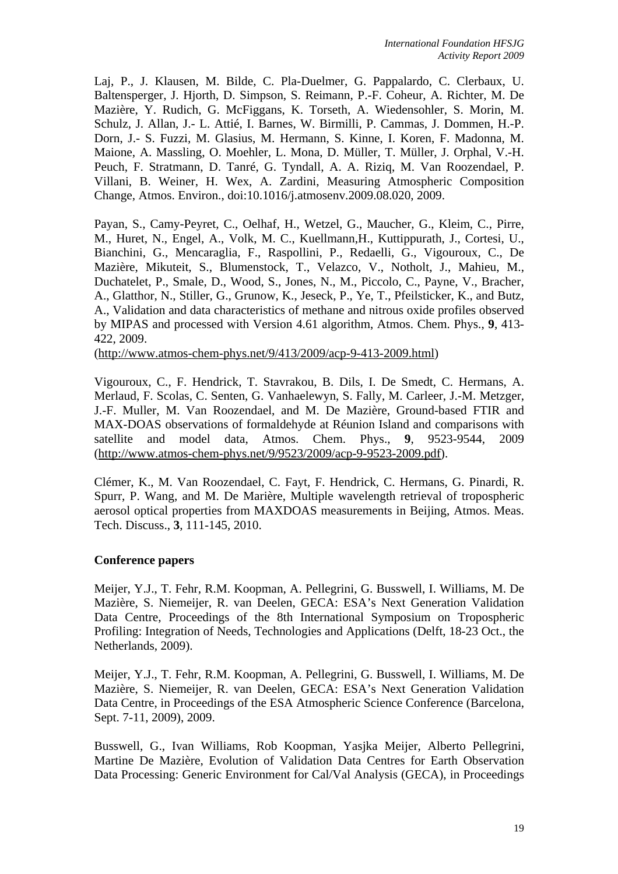Laj, P., J. Klausen, M. Bilde, C. Pla-Duelmer, G. Pappalardo, C. Clerbaux, U. Baltensperger, J. Hjorth, D. Simpson, S. Reimann, P.-F. Coheur, A. Richter, M. De Mazière, Y. Rudich, G. McFiggans, K. Torseth, A. Wiedensohler, S. Morin, M. Schulz, J. Allan, J.- L. Attié, I. Barnes, W. Birmilli, P. Cammas, J. Dommen, H.-P. Dorn, J.- S. Fuzzi, M. Glasius, M. Hermann, S. Kinne, I. Koren, F. Madonna, M. Maione, A. Massling, O. Moehler, L. Mona, D. Müller, T. Müller, J. Orphal, V.-H. Peuch, F. Stratmann, D. Tanré, G. Tyndall, A. A. Riziq, M. Van Roozendael, P. Villani, B. Weiner, H. Wex, A. Zardini, Measuring Atmospheric Composition Change, Atmos. Environ., doi:10.1016/j.atmosenv.2009.08.020, 2009.

Payan, S., Camy-Peyret, C., Oelhaf, H., Wetzel, G., Maucher, G., Kleim, C., Pirre, M., Huret, N., Engel, A., Volk, M. C., Kuellmann,H., Kuttippurath, J., Cortesi, U., Bianchini, G., Mencaraglia, F., Raspollini, P., Redaelli, G., Vigouroux, C., De Mazière, Mikuteit, S., Blumenstock, T., Velazco, V., Notholt, J., Mahieu, M., Duchatelet, P., Smale, D., Wood, S., Jones, N., M., Piccolo, C., Payne, V., Bracher, A., Glatthor, N., Stiller, G., Grunow, K., Jeseck, P., Ye, T., Pfeilsticker, K., and Butz, A., Validation and data characteristics of methane and nitrous oxide profiles observed by MIPAS and processed with Version 4.61 algorithm, Atmos. Chem. Phys., **9**, 413- 422, 2009.

(http://www.atmos-chem-phys.net/9/413/2009/acp-9-413-2009.html)

Vigouroux, C., F. Hendrick, T. Stavrakou, B. Dils, I. De Smedt, C. Hermans, A. Merlaud, F. Scolas, C. Senten, G. Vanhaelewyn, S. Fally, M. Carleer, J.-M. Metzger, J.-F. Muller, M. Van Roozendael, and M. De Mazière, Ground-based FTIR and MAX-DOAS observations of formaldehyde at Réunion Island and comparisons with satellite and model data, Atmos. Chem. Phys., **9**, 9523-9544, 2009 (http://www.atmos-chem-phys.net/9/9523/2009/acp-9-9523-2009.pdf).

Clémer, K., M. Van Roozendael, C. Fayt, F. Hendrick, C. Hermans, G. Pinardi, R. Spurr, P. Wang, and M. De Marière, Multiple wavelength retrieval of tropospheric aerosol optical properties from MAXDOAS measurements in Beijing, Atmos. Meas. Tech. Discuss., **3**, 111-145, 2010.

### **Conference papers**

Meijer, Y.J., T. Fehr, R.M. Koopman, A. Pellegrini, G. Busswell, I. Williams, M. De Mazière, S. Niemeijer, R. van Deelen, GECA: ESA's Next Generation Validation Data Centre, Proceedings of the 8th International Symposium on Tropospheric Profiling: Integration of Needs, Technologies and Applications (Delft, 18-23 Oct., the Netherlands, 2009).

Meijer, Y.J., T. Fehr, R.M. Koopman, A. Pellegrini, G. Busswell, I. Williams, M. De Mazière, S. Niemeijer, R. van Deelen, GECA: ESA's Next Generation Validation Data Centre, in Proceedings of the ESA Atmospheric Science Conference (Barcelona, Sept. 7-11, 2009), 2009.

Busswell, G., Ivan Williams, Rob Koopman, Yasjka Meijer, Alberto Pellegrini, Martine De Mazière, Evolution of Validation Data Centres for Earth Observation Data Processing: Generic Environment for Cal/Val Analysis (GECA), in Proceedings